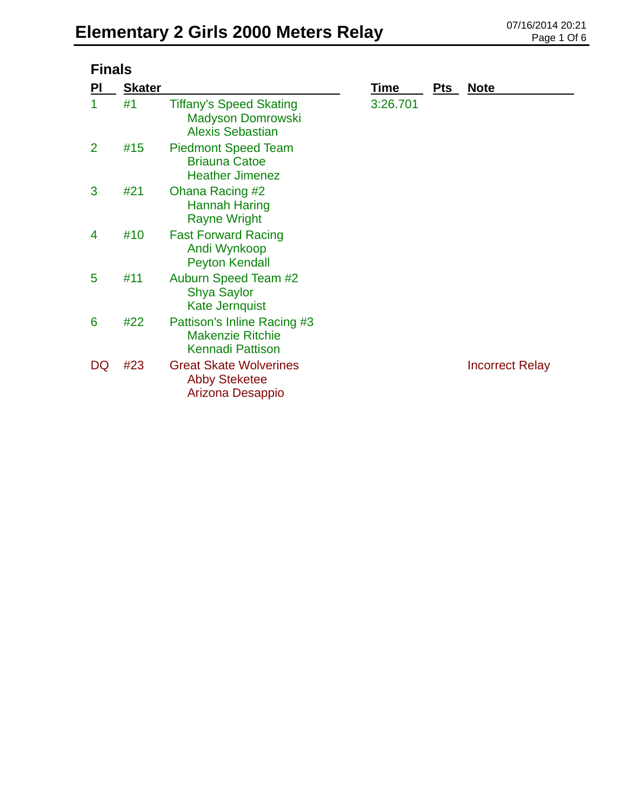| <b>Finals</b>  |               |                                                                                       |          |       |                        |  |
|----------------|---------------|---------------------------------------------------------------------------------------|----------|-------|------------------------|--|
| <b>PI</b>      | <b>Skater</b> |                                                                                       | Time     | $Pts$ | <b>Note</b>            |  |
| 1              | #1            | <b>Tiffany's Speed Skating</b><br><b>Madyson Domrowski</b><br><b>Alexis Sebastian</b> | 3:26.701 |       |                        |  |
| $\overline{2}$ | #15           | <b>Piedmont Speed Team</b><br><b>Briauna Catoe</b><br><b>Heather Jimenez</b>          |          |       |                        |  |
| 3              | #21           | <b>Ohana Racing #2</b><br>Hannah Haring<br><b>Rayne Wright</b>                        |          |       |                        |  |
| 4              | #10           | <b>Fast Forward Racing</b><br>Andi Wynkoop<br><b>Peyton Kendall</b>                   |          |       |                        |  |
| 5              | #11           | <b>Auburn Speed Team #2</b><br><b>Shya Saylor</b><br><b>Kate Jernquist</b>            |          |       |                        |  |
| 6              | #22           | Pattison's Inline Racing #3<br><b>Makenzie Ritchie</b><br><b>Kennadi Pattison</b>     |          |       |                        |  |
| DQ             | #23           | <b>Great Skate Wolverines</b><br><b>Abby Steketee</b><br>Arizona Desappio             |          |       | <b>Incorrect Relay</b> |  |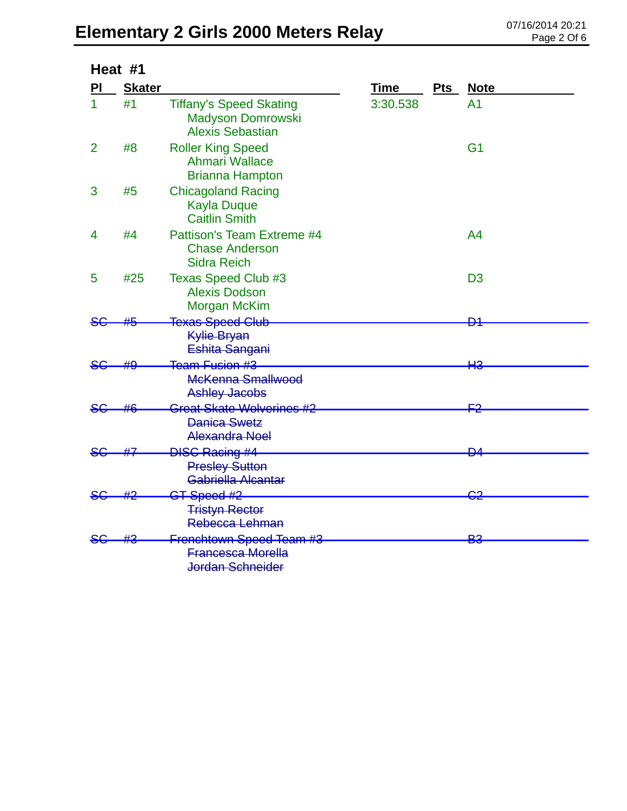### Elementary 2 Girls 2000 Meters Relay **DELEMENT AND Rage 2 Of 6**

| Heat #1        |               |                                                                                |          |            |                |  |
|----------------|---------------|--------------------------------------------------------------------------------|----------|------------|----------------|--|
| PI             | <b>Skater</b> |                                                                                | Time     | <b>Pts</b> | <b>Note</b>    |  |
| $\mathbf{1}$   | #1            | <b>Tiffany's Speed Skating</b><br>Madyson Domrowski<br><b>Alexis Sebastian</b> | 3:30.538 |            | A <sub>1</sub> |  |
| $\overline{2}$ | #8            | <b>Roller King Speed</b><br><b>Ahmari Wallace</b><br><b>Brianna Hampton</b>    |          |            | G <sub>1</sub> |  |
| 3              | #5            | <b>Chicagoland Racing</b><br><b>Kayla Duque</b><br><b>Caitlin Smith</b>        |          |            |                |  |
| 4              | #4            | Pattison's Team Extreme #4<br><b>Chase Anderson</b><br><b>Sidra Reich</b>      |          |            | A <sub>4</sub> |  |
| 5              | #25           | <b>Texas Speed Club #3</b><br><b>Alexis Dodson</b><br><b>Morgan McKim</b>      |          |            | D <sub>3</sub> |  |
| <del>SC</del>  | #5            | <b>Texas Speed Club</b><br><b>Kylie Bryan</b><br>Eshita Sangani                |          |            | ₽4             |  |
| SG             |               | Team Fusion #3<br>McKenna Smallwood<br><b>Ashley Jacobs</b>                    |          |            | HЗ             |  |
| <del>SG.</del> |               | <del>Great Skate Wolverines #2</del><br><b>Danica Swetz</b><br>Alexandra Noel  |          |            | <b>F2</b>      |  |
|                |               | <b>DISC Racing #4</b><br><b>Presley Sutton</b><br>Gabriella Alcantar           |          |            | <u>D4</u>      |  |
|                |               | ST-Speed #2<br><b>Tristyn Rector</b><br>Rebecca Lehman                         |          |            | 62             |  |
|                |               | Frenchtown Speed Team #3<br><b>Francesca Morella</b><br>Jordan Schneider       |          |            | ₽£             |  |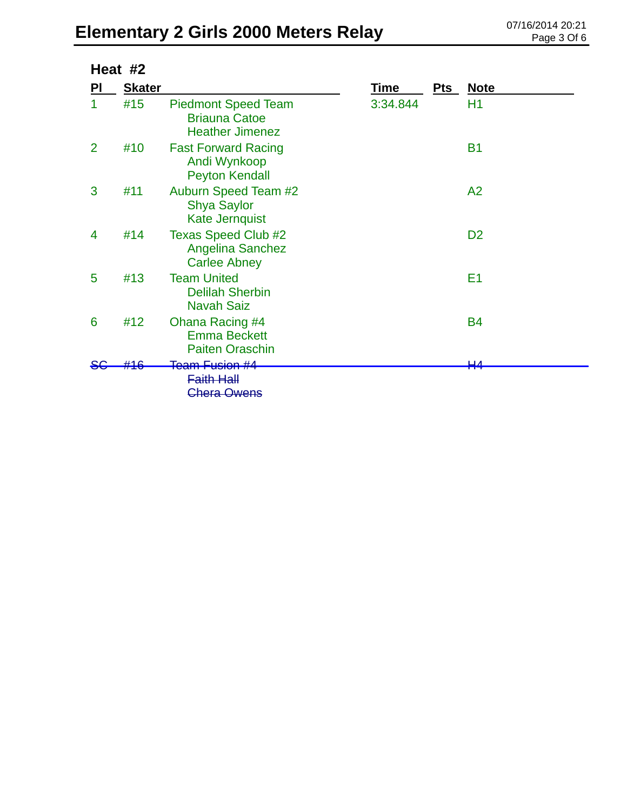# Elementary 2 Girls 2000 Meters Relay 07/16/2014 20:21

| Heat #2        |               |                                                                              |          |       |                |
|----------------|---------------|------------------------------------------------------------------------------|----------|-------|----------------|
| PI             | <b>Skater</b> |                                                                              | Time     | $Pts$ | <b>Note</b>    |
| 1              | #15           | <b>Piedmont Speed Team</b><br><b>Briauna Catoe</b><br><b>Heather Jimenez</b> | 3:34.844 |       | H1             |
| $\overline{2}$ | #10           | <b>Fast Forward Racing</b><br>Andi Wynkoop<br><b>Peyton Kendall</b>          |          |       | <b>B1</b>      |
| 3              | #11           | <b>Auburn Speed Team #2</b><br><b>Shya Saylor</b><br><b>Kate Jernquist</b>   |          |       | A2             |
| 4              | #14           | <b>Texas Speed Club #2</b><br><b>Angelina Sanchez</b><br><b>Carlee Abney</b> |          |       | D <sub>2</sub> |
| 5              | #13           | <b>Team United</b><br><b>Delilah Sherbin</b><br><b>Navah Saiz</b>            |          |       | E1             |
| 6              | #12           | Ohana Racing #4<br><b>Emma Beckett</b><br><b>Paiten Oraschin</b>             |          |       | <b>B4</b>      |
|                |               | <del>Team Fusion #4</del><br><b>Faith Hall</b><br>Chera Owens                |          |       | ப              |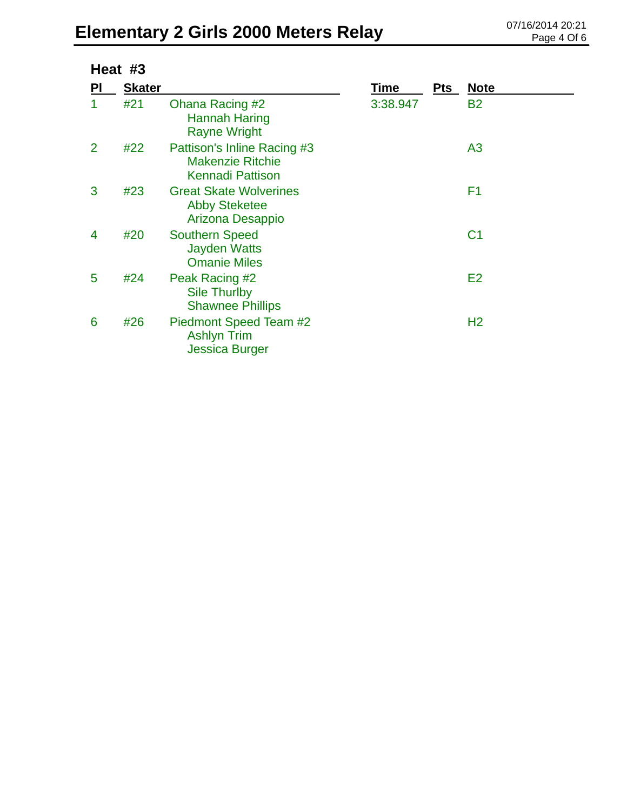# Elementary 2 Girls 2000 Meters Relay 07/16/2014 20:21

| Heat #3        |               |                                                                                   |             |            |                |  |  |
|----------------|---------------|-----------------------------------------------------------------------------------|-------------|------------|----------------|--|--|
| PI             | <b>Skater</b> |                                                                                   | <b>Time</b> | <b>Pts</b> | <u>Note</u>    |  |  |
| 1              | #21           | Ohana Racing #2<br>Hannah Haring<br><b>Rayne Wright</b>                           | 3:38.947    |            | <b>B2</b>      |  |  |
| $\overline{2}$ | #22           | Pattison's Inline Racing #3<br><b>Makenzie Ritchie</b><br><b>Kennadi Pattison</b> |             |            | A <sub>3</sub> |  |  |
| 3              | #23           | <b>Great Skate Wolverines</b><br><b>Abby Steketee</b><br>Arizona Desappio         |             |            | F <sub>1</sub> |  |  |
| 4              | #20           | <b>Southern Speed</b><br><b>Jayden Watts</b><br><b>Omanie Miles</b>               |             |            | C <sub>1</sub> |  |  |
| 5              | #24           | Peak Racing #2<br><b>Sile Thurlby</b><br><b>Shawnee Phillips</b>                  |             |            | E <sub>2</sub> |  |  |
| 6              | #26           | Piedmont Speed Team #2<br><b>Ashlyn Trim</b><br>Jessica Burger                    |             |            | H <sub>2</sub> |  |  |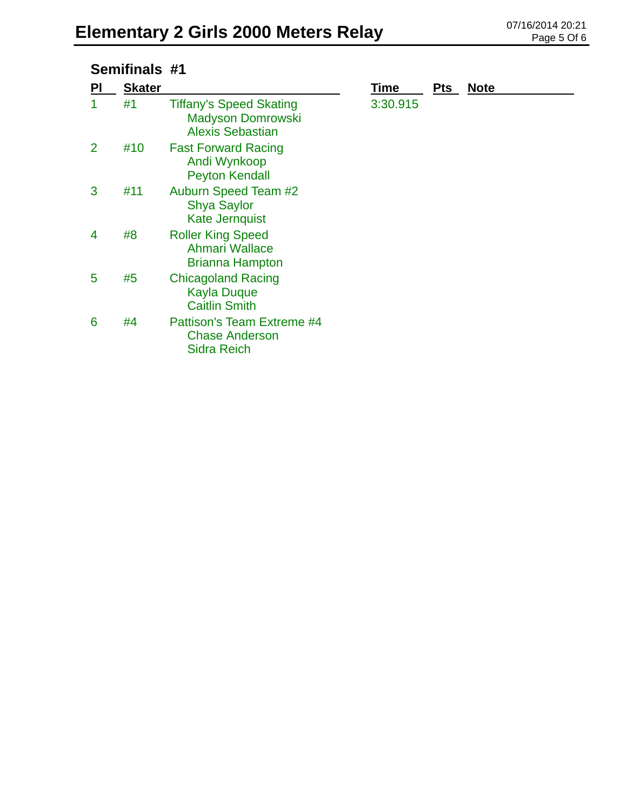#### **Semifinals #1**

| PI | <b>Skater</b> |                                                                                       | Time     | <b>Pts</b> | <b>Note</b> |
|----|---------------|---------------------------------------------------------------------------------------|----------|------------|-------------|
|    | #1            | <b>Tiffany's Speed Skating</b><br><b>Madyson Domrowski</b><br><b>Alexis Sebastian</b> | 3:30.915 |            |             |
| 2  | #10           | <b>Fast Forward Racing</b><br>Andi Wynkoop<br><b>Peyton Kendall</b>                   |          |            |             |
| 3  | #11           | <b>Auburn Speed Team #2</b><br><b>Shya Saylor</b><br><b>Kate Jernquist</b>            |          |            |             |
| 4  | #8            | <b>Roller King Speed</b><br>Ahmari Wallace<br><b>Brianna Hampton</b>                  |          |            |             |
| 5  | #5            | <b>Chicagoland Racing</b><br><b>Kayla Duque</b><br><b>Caitlin Smith</b>               |          |            |             |
| 6  | #4            | Pattison's Team Extreme #4<br><b>Chase Anderson</b><br><b>Sidra Reich</b>             |          |            |             |